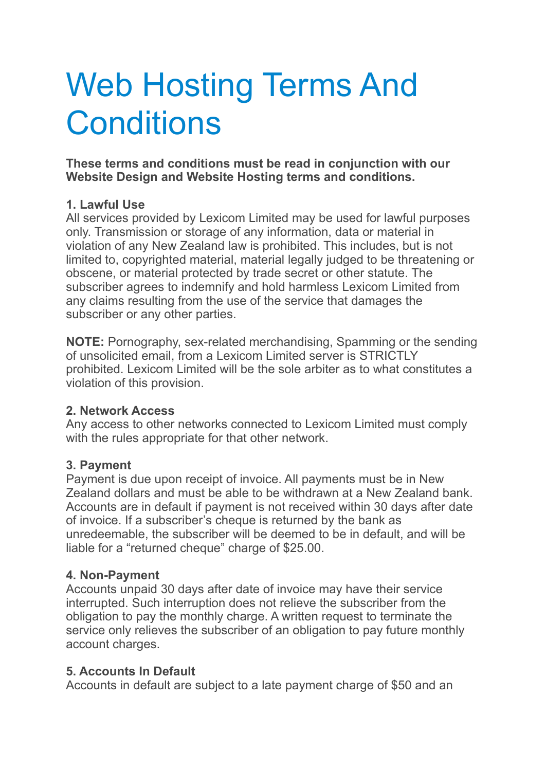# Web Hosting Terms And **Conditions**

**These terms and conditions must be read in conjunction with our Website Design and Website Hosting terms and conditions.**

#### **1. Lawful Use**

All services provided by Lexicom Limited may be used for lawful purposes only. Transmission or storage of any information, data or material in violation of any New Zealand law is prohibited. This includes, but is not limited to, copyrighted material, material legally judged to be threatening or obscene, or material protected by trade secret or other statute. The subscriber agrees to indemnify and hold harmless Lexicom Limited from any claims resulting from the use of the service that damages the subscriber or any other parties.

**NOTE:** Pornography, sex-related merchandising, Spamming or the sending of unsolicited email, from a Lexicom Limited server is STRICTLY prohibited. Lexicom Limited will be the sole arbiter as to what constitutes a violation of this provision.

#### **2. Network Access**

Any access to other networks connected to Lexicom Limited must comply with the rules appropriate for that other network.

#### **3. Payment**

Payment is due upon receipt of invoice. All payments must be in New Zealand dollars and must be able to be withdrawn at a New Zealand bank. Accounts are in default if payment is not received within 30 days after date of invoice. If a subscriber's cheque is returned by the bank as unredeemable, the subscriber will be deemed to be in default, and will be liable for a "returned cheque" charge of \$25.00.

#### **4. Non-Payment**

Accounts unpaid 30 days after date of invoice may have their service interrupted. Such interruption does not relieve the subscriber from the obligation to pay the monthly charge. A written request to terminate the service only relieves the subscriber of an obligation to pay future monthly account charges.

#### **5. Accounts In Default**

Accounts in default are subject to a late payment charge of \$50 and an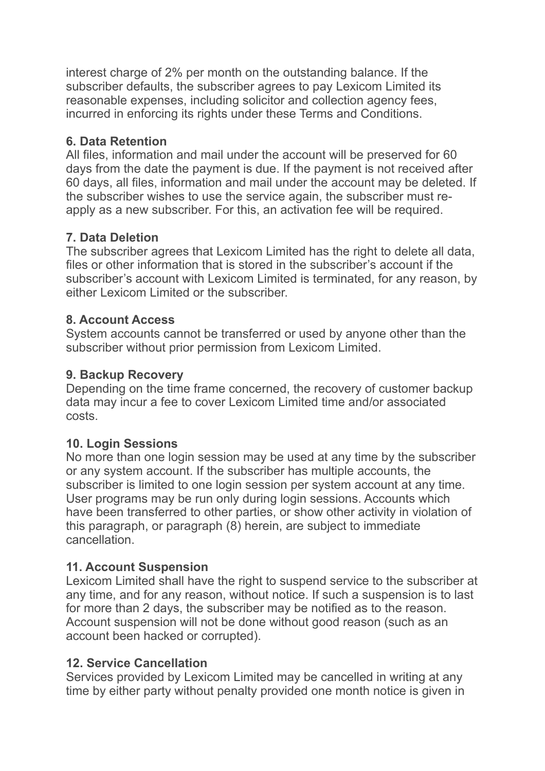interest charge of 2% per month on the outstanding balance. If the subscriber defaults, the subscriber agrees to pay Lexicom Limited its reasonable expenses, including solicitor and collection agency fees, incurred in enforcing its rights under these Terms and Conditions.

#### **6. Data Retention**

All files, information and mail under the account will be preserved for 60 days from the date the payment is due. If the payment is not received after 60 days, all files, information and mail under the account may be deleted. If the subscriber wishes to use the service again, the subscriber must reapply as a new subscriber. For this, an activation fee will be required.

# **7. Data Deletion**

The subscriber agrees that Lexicom Limited has the right to delete all data, files or other information that is stored in the subscriber's account if the subscriber's account with Lexicom Limited is terminated, for any reason, by either Lexicom Limited or the subscriber.

# **8. Account Access**

System accounts cannot be transferred or used by anyone other than the subscriber without prior permission from Lexicom Limited.

# **9. Backup Recovery**

Depending on the time frame concerned, the recovery of customer backup data may incur a fee to cover Lexicom Limited time and/or associated costs.

# **10. Login Sessions**

No more than one login session may be used at any time by the subscriber or any system account. If the subscriber has multiple accounts, the subscriber is limited to one login session per system account at any time. User programs may be run only during login sessions. Accounts which have been transferred to other parties, or show other activity in violation of this paragraph, or paragraph (8) herein, are subject to immediate cancellation.

#### **11. Account Suspension**

Lexicom Limited shall have the right to suspend service to the subscriber at any time, and for any reason, without notice. If such a suspension is to last for more than 2 days, the subscriber may be notified as to the reason. Account suspension will not be done without good reason (such as an account been hacked or corrupted).

#### **12. Service Cancellation**

Services provided by Lexicom Limited may be cancelled in writing at any time by either party without penalty provided one month notice is given in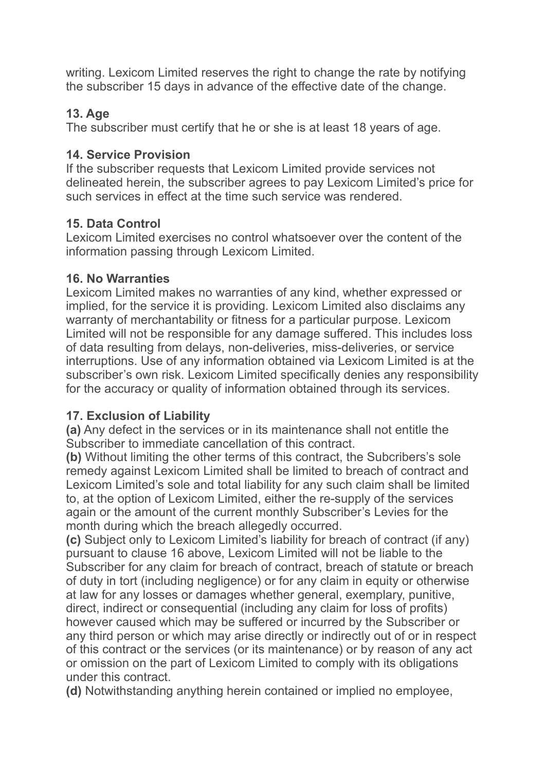writing. Lexicom Limited reserves the right to change the rate by notifying the subscriber 15 days in advance of the effective date of the change.

#### **13. Age**

The subscriber must certify that he or she is at least 18 years of age.

#### **14. Service Provision**

If the subscriber requests that Lexicom Limited provide services not delineated herein, the subscriber agrees to pay Lexicom Limited's price for such services in effect at the time such service was rendered.

# **15. Data Control**

Lexicom Limited exercises no control whatsoever over the content of the information passing through Lexicom Limited.

#### **16. No Warranties**

Lexicom Limited makes no warranties of any kind, whether expressed or implied, for the service it is providing. Lexicom Limited also disclaims any warranty of merchantability or fitness for a particular purpose. Lexicom Limited will not be responsible for any damage suffered. This includes loss of data resulting from delays, non-deliveries, miss-deliveries, or service interruptions. Use of any information obtained via Lexicom Limited is at the subscriber's own risk. Lexicom Limited specifically denies any responsibility for the accuracy or quality of information obtained through its services.

#### **17. Exclusion of Liability**

**(a)** Any defect in the services or in its maintenance shall not entitle the Subscriber to immediate cancellation of this contract.

**(b)** Without limiting the other terms of this contract, the Subcribers's sole remedy against Lexicom Limited shall be limited to breach of contract and Lexicom Limited's sole and total liability for any such claim shall be limited to, at the option of Lexicom Limited, either the re-supply of the services again or the amount of the current monthly Subscriber's Levies for the month during which the breach allegedly occurred.

**(c)** Subject only to Lexicom Limited's liability for breach of contract (if any) pursuant to clause 16 above, Lexicom Limited will not be liable to the Subscriber for any claim for breach of contract, breach of statute or breach of duty in tort (including negligence) or for any claim in equity or otherwise at law for any losses or damages whether general, exemplary, punitive, direct, indirect or consequential (including any claim for loss of profits) however caused which may be suffered or incurred by the Subscriber or any third person or which may arise directly or indirectly out of or in respect of this contract or the services (or its maintenance) or by reason of any act or omission on the part of Lexicom Limited to comply with its obligations under this contract.

**(d)** Notwithstanding anything herein contained or implied no employee,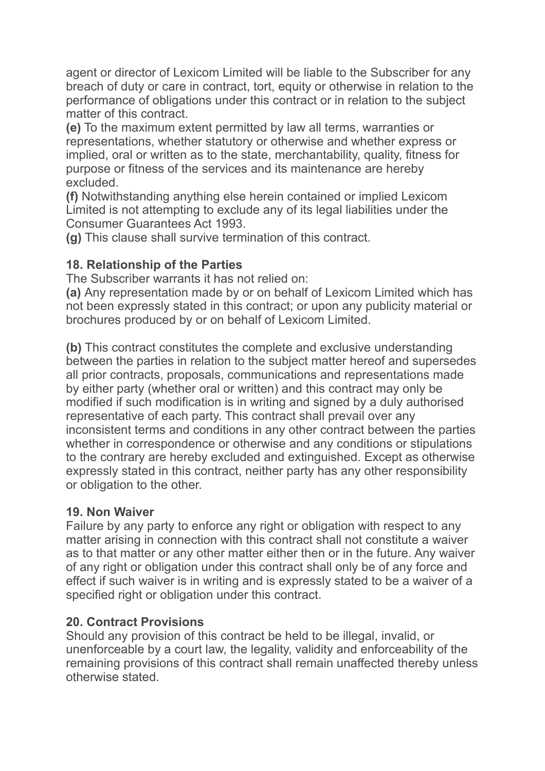agent or director of Lexicom Limited will be liable to the Subscriber for any breach of duty or care in contract, tort, equity or otherwise in relation to the performance of obligations under this contract or in relation to the subject matter of this contract.

**(e)** To the maximum extent permitted by law all terms, warranties or representations, whether statutory or otherwise and whether express or implied, oral or written as to the state, merchantability, quality, fitness for purpose or fitness of the services and its maintenance are hereby excluded.

**(f)** Notwithstanding anything else herein contained or implied Lexicom Limited is not attempting to exclude any of its legal liabilities under the Consumer Guarantees Act 1993.

**(g)** This clause shall survive termination of this contract.

#### **18. Relationship of the Parties**

The Subscriber warrants it has not relied on:

**(a)** Any representation made by or on behalf of Lexicom Limited which has not been expressly stated in this contract; or upon any publicity material or brochures produced by or on behalf of Lexicom Limited.

**(b)** This contract constitutes the complete and exclusive understanding between the parties in relation to the subject matter hereof and supersedes all prior contracts, proposals, communications and representations made by either party (whether oral or written) and this contract may only be modified if such modification is in writing and signed by a duly authorised representative of each party. This contract shall prevail over any inconsistent terms and conditions in any other contract between the parties whether in correspondence or otherwise and any conditions or stipulations to the contrary are hereby excluded and extinguished. Except as otherwise expressly stated in this contract, neither party has any other responsibility or obligation to the other.

#### **19. Non Waiver**

Failure by any party to enforce any right or obligation with respect to any matter arising in connection with this contract shall not constitute a waiver as to that matter or any other matter either then or in the future. Any waiver of any right or obligation under this contract shall only be of any force and effect if such waiver is in writing and is expressly stated to be a waiver of a specified right or obligation under this contract.

#### **20. Contract Provisions**

Should any provision of this contract be held to be illegal, invalid, or unenforceable by a court law, the legality, validity and enforceability of the remaining provisions of this contract shall remain unaffected thereby unless otherwise stated.